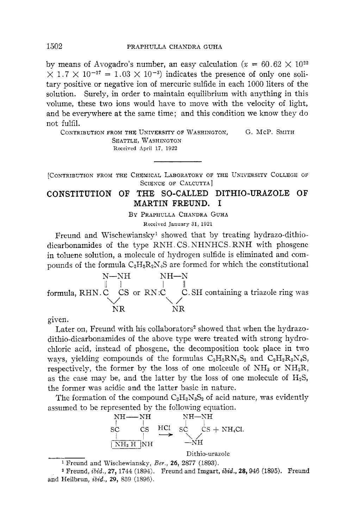by means of Avogadro's number, an easy calculation  $(x = 60.62 \times 10^{22}$  $\times$  1.7  $\times$  10<sup>-27</sup> = 1.03  $\times$  10<sup>-3</sup>) indicates the presence of only one solitary positive or negative ion of mercuric sulfide in each 1000 liters of the solution. Surely, in order to maintain equilibrium with anything in this volume, these two ions would have to move with the velocity of light, and be everywhere at the same time; and this condition we know they do not fulfil.

CONTRIBUTION FROM THE UNIVERSITY **OF** WASHINGTON, SEATTLE, WASHIXGTON G. McP. SMITH Received April **17, 1922** 

[CONTRIBUTION PROM THE CHEMICAL LABORATORY OF THE UNIVERSITY COLLEGE OF SCIENCE **OF** CALCUTTA ]

## CONSTITUTION OF THE SO-CALLED DITHIO-URAZOLE OF MARTIN FREUND. I

BY PRAPHULLA CHANDRA GUHA

Received January 31, 1921

Freund and Wischewiansky' showed that by treating hydrazo-dithiodicarbonamides of the type RNH . CS. NHNHCS. RNH with phosgene in toluene solution, a molecule of hydrogen sulfide is eliminated and compounds of the formula  $C_2H_2R_2N_4S$  are formed for which the constitutional



given.

Later on, Freund with his collaborators<sup>2</sup> showed that when the hydrazodithio-dicarbonamides of the above type were treated with strong hydrochloric acid, instead of phosgene, the decomposition took place in two wavs, vielding compounds of the formulas  $C_2H_2RN_3S_2$  and  $C_2H_2R_2N_4S$ , respectively, the former by the loss of one molecule of  $NH<sub>3</sub>$  or  $NH<sub>2</sub>R$ , as the case may be, and the latter by the loss of one molecule of  $H_2S$ , the former was acidic and the latter basic in nature.

The formation of the compound  $C_2H_3N_3S_2$  of acid nature, was evidently



Dithio-urazole

<sup>1</sup> Freund and Wischewiansky, *Ber.*, **26**, 2877 (1893).

Freund, *ibid.,* **27,** 1744 (1894). Freund and Imgart, *ibid.,* **28,** 946 (1895). Freund and Heilbrun, *ibid.,* **29,** 889 (1896).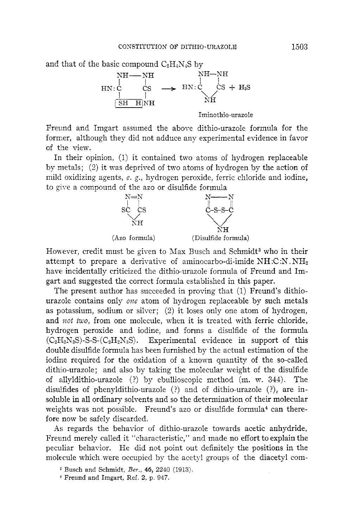and that of the basic compound  $C_2H_4N_4S$  by



Freund and Imgart assumed the above dithio-urazole formula for the former, although they did not adduce any experimental evidence in favor of the view.

In their opinion, (1) it contained two atoms of hydrogen replaceable by metals; (2) it was deprived of two atoms of hydrogen by the action of mild oxidizing agents, e. g., hydrogen peroxide, ferric chloride and iodine, to give a compound of the azo or disulfide formula



However, credit must be given to Max Busch and Schmidt<sup>3</sup> who in their attempt to prepare a derivative of aminocarbo-di-imide NH *:C* :N . NH2 have incidentally criticized the dithio-urazole iormula of Freund and Imgart and suggested the correct formula established in this paper.

The present author has succeeded in proving that (1) Freund's dithiourazole contains only *one* atom of hydrogen replaceable by such metals as potassium, sodium or silver; *(2)* it loses only one atom of hydrogen, and *not two*, from one molecule, when it is treated with ferric chloride, hydrogen peroxide and iodine, and forms a disulfide of the formula  $(C_2H_2N_3S)$ -S-S- $(C_2H_2N_3S)$ . Experimental evidence in support of this double disulfide formula has been furnished by the actual estimation of the iodine required for the oxidation of a known quantity of the so-called dithio-urazole; and also by taking the molecular weight of the disulfide of allyldithio-urazole *(I)* by ebullioscopic method (m. **w.** 344). The disujfides of phenyldithio-urazole (?) and of dithio-urazole (?), are insoluble in all ordinary solvents and so the determination of their molecular weights was not possible. Freund's azo or disulfide formula<sup>4</sup> can therefore now be safely discarded.

As regards the behavior of dithio-urazole towards acetic anhydride, Freund merely called it "characteristic," and made no effort to explain the peculiar behavior. He did not point out definitely the positions in the molecule which were occupied by the acety! groups of the diacetyl com-

Busch and Schmidt, *Ber.,* **46,** 2240 (1913).

<sup>&</sup>lt;sup>4</sup> Freund and Imgart, Ref. 2, p. 947.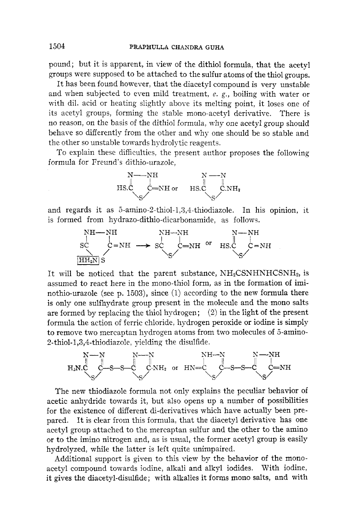pound; but it is apparent, in view of the dithiol formula, that the acetyl groups were supposed to be attached to the sulfur atoms of the thiol groups.

It has been found however, that the diacetyl compound is very unstable and when subjected to even mild treatment, **e.** g., boiling with water or with dil. acid or heating slightly above its melting point, it loses one of its acetyl groups, forming the stable mono-acetyl derivative. There is no reason, on the basis of the dithiol fomula, why one acetyl group should behave so differently from the other and why one should be so stable and the other so unstable towards hydrolytic reagents.

To explain these difficulties, the present author proposes the following formula for Freund's dithio-urazole,



and regards it as 5-amino-2-thiol-1,3,4-thiodiazole. In his opinion, it is formed from hydrazo-dithio-dicarbonamide, as follows.



It will be noticed that the parent substance,  $NH<sub>2</sub>CSNHNHCSNH<sub>2</sub>$ , is assumed to react here in the mono-thiol form, as in the formation of iminothio-urazole (see p. 1503), since (1) according to the new formula there is only one sulfhydrate group present in the molecule and the mono salts are formed by replacing the thiol hydrogen; *(2)* in the light of the present formula the action of ferric chloride, hydrogen peroxide or iodine is simply to remove two mercaptan hydrogen atoms from two molecules of 5-amino- $2$ -thiol-1,3,4-thiodiazole, yielding the disulfide.



The new thiodiazole formula not only explains the peculiar behavior of acetic anhydride towards it, but also opens up a number of possibilities for the existence of different di-derivatives which have actually been prepared. It is clear from this formula, that the diacetyl derivative has one acetyl group attached to the mercaptan sulfur and the other to the amino or to the imino nitrogen and, as is usual, the former acetyl group is easily hydrolyzed, while the latter is left quite unimpaired.

Additional support is given to this view by the behavior of the monoacetyl compound towards iodine, alkali and alkyl iodides. With iodine, it gives the diacetyl-disulfide; with alkalies it forms mono salts, and with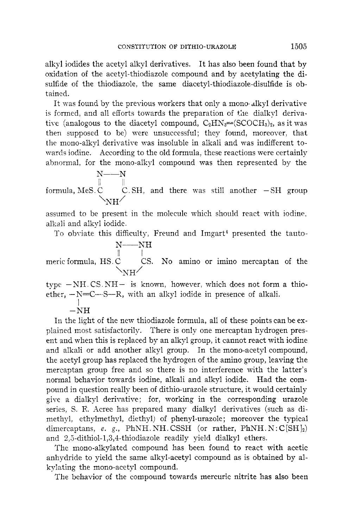alkyl iodides the acetyl alkyl derivatives. It has also been found that by oxidation of the acetyl-thiodiazole compound and by acetylating the disulfide of the thiodiazole, the same diacetyl-thiodiazole-disulfide is obtained.

It was found by the previous workers that only a mono dlkyl derivative is formed, and a11 efforts towards the preparation of the dialkyl derivative (analogous to the diacetyl compound,  $C_2HN_3 = (SCOCH_3)_2$ , as it was then supposed to be) were unsuccessful; they found, moreover, that the mono-alkyl derivative was insoluble in alkali and was indifferent towards iodine. According to the old formula, these reactions were certainly abnormal, for the mono-alkyl compound was then represented by the

 $N$ — $\overline{N}$ formula, MeS. $\mathop{\mathbb C}^\parallel$   $\quad \mathop{\mathbb C}^\bullet.$  SH, and there was still another  $-\mathop{\mathbb S}$ H group  $\Delta$ NH $\overline{a}$ 

assumed to be present in the molecule which should react with iodine, alkali and alkyl iodide.

To obviate this difficulty, Freund and Imgart<sup>4</sup> presented the tauto-N-NH

meric formula,  $\mathrm{HS}.\,\mathrm{\overset{\shortparallel}{C}}$   $\phantom{\raisebox{1.5cm}{C}}$  CS. No amino or imino mercaptan of the  $\Delta$ NH $\overline{H}$ 

type -NH.CS.NH- is known, however, which does not form a thioether,  $-N=C-S-R$ , with an alkyl iodide in presence of alkali.

 $^{-1}$  $\overline{\rm NH}$ 

In the light of the new thiodiazole formula, all of these points can be explained most satisfactorily. There is only one mercaptan hydrogen present and when this is replaced by an alkyl group, it cannot react with iodine and alkali or add another alkyl group. In the mono-acetyl compound, the acetyl group has replaced the hydrogen of the amino group, leaving the mercaptan group free and so there is no interference with the latter's normal behavior towards iodine, alkali and alkyl iodide. Had the compound in question really been of dithio-urazole structure, it would certainly give a dialkyl derivative; for, working in the corresponding urazole series, S. F. Acree has prepared many dialkyl derivatives (such as dimethyl, ethylmethyl, diethyl) of phenyl-urazole; moreover the typical dimercaptans, *e. g.*, PhNH. NH. CSSH (or rather, PhNH. N:  $C(SH)_{2}$ ) and 2,5-dithiol-1,3,4-thiodiazole readily yield dialkyl ethers.

The mono-alkylated compound has been found to react with acetic anhydride to yield the same alkyl-acetyl compound as is obtained by alkylating the mono-acetyl compound.

The behavior of the compound towards mercuric nitrite has also been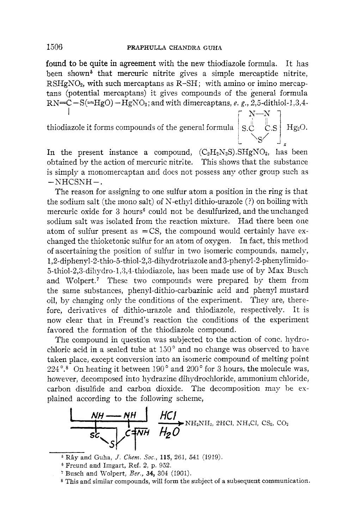**found** to be quite in agreement with the new thiodiazole formula. It has been shown<sup> $\delta$ </sup> that mercuric nitrite gives a simple mercaptide nitrite,  $RSHgNO<sub>2</sub>$ , with such mercaptans as  $R-SH$ ; with amino or imino mercaptans (potential mercaptans) it gives compounds of the general formula  $RN=C-S(=HgO) - HgNO<sub>2</sub>$ ; and with dimercaptans, *e. g.*, 2,5-dithiol-1,3,4-I  $N-N$  1

thiodiazole it forms compounds of the general formula  $\mid$  S. $\overset{\bullet}{\mathsf{C}}-\overset{\bullet}{\mathsf{C}}$ 

In the present instance a compound,  $(C_2H_2N_3S)$ . SHgNO<sub>2</sub>, has been obtained by the action of mercuric nitrite. This shows that the substance is simply a monomercaptan and does not possess any other group such as  $-NHCSNH-.$ 

The reason for assigning to one sulfur atom a position in the ring is that the sodium salt (the mono salt) of N-ethyl dithio-urazole (?) on boiling with mercuric oxide for 3 hours<sup>6</sup> could not be desulfurized, and the unchanged sodium salt was isolated from the reaction mixture. Had there been one atom of sulfur present as  $=$  CS, the compound would certainly have exchanged the thioketonic sulfur for an atom of oxygen. In fact, this method of ascertaining the position of sulfur in two isomeric compounds, namely, **1,2-diphenyl-2-thio-5-thiol-2,3-dihydrotriazole** and 3-phenyl-2-phenylimido-5-thiol-2,3-dihydro-1,3,4-thiodiazole, has been made use of by Max Busch and Wolpert.' These two compounds were prepared by them from the same substances, phenyl-dithio-carbazinic acid and phenyl mustard oil, by changing only the conditions of the experiment. They are, therefore, derivatives of dithio-urazole and thiodiazole, respectively. It is now clear that in Freund's reaction the conditions of the experiment favored the formation of the thiodiazole compound.

The compound in question was subjected to the action of conc. hydrochloric acid in a sealed tube at  $150^{\circ}$  and no change was observed to have taken place, except conversion into an isomeric compound of melting point 224°.8 On heating it between 190" and *200'* for 3 hours, the molecule was, however, decomposed into hydrazine dihydrochloride, ammonium chloride, carbon disulfide and carbon dioxide. The decomposition may be *es*plained according to the following scheme,



 $^5$  Rây and Guha, *J. Chem. Soc.*, 115, 261, 541 (1919).

<sup>&</sup>lt;sup>6</sup> Freund and Imgart, Ref. 2, p. 952.

Busch and Wolpert, *Ber.,* **34,** 304 (1901).

*<sup>8</sup>* This and similar compounds, will form the subject of a subsequent communication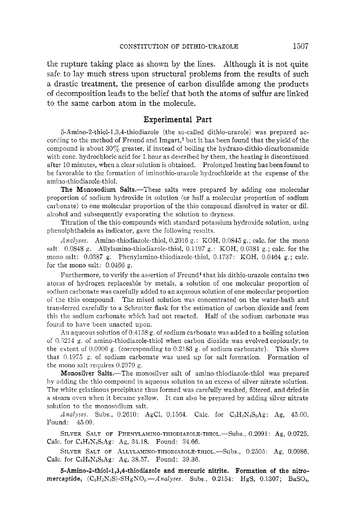the rupture taking place as shown by the lines. Although it is not quite safe to lay much stress upon structural problems from the results of such a drastic treatment, the presence of carbon disulfide among the products of decomposition leads to the belief that both the atoms of sulfur are linked to the same carbon atom in the molecule.

## Experimental Part

5-Amino-2-thiol-1,3,4-thiodiazole (the so-called dithio-urazole) was prepared according to the method of Freund and Imgart,\* but it has been found that the yield of the compound is about *307,* greater, if instead of boiling the hydrazo-dithio-dicarbonamide with conc. hydrochloric acid for 1 hour as described by them, the heating is discontinued after 10 minutes, when a clear solution is obtained. Prolonged heating has been found to he fiworable to the formation of iminothio-urazole hydrochloride at the expense of the amino-thiodiazole-thiol.

The Monosodium Salts.—These salts were prepared by adding one molecular proportion of sodium hydroxide in solution (or half a molecular proportion of sodium carbonate) to one molecular proportion of the thio compound dissolved in water or dil. alcohol and subsequently evaporating the solution to dryness.

Titration of the thio compounds with standard potassium hydroxide solution, using phenolphthalein as indicator, gave the following results.

*Analyses.* Amino-thiodiazole-thiol, 0.2016 *g.* : KOH, 0.0845 g.; calc. for the mono salt 0.0848 g. Allylamino-thiodiazole-thiol, 0.1197 g.: KOH, 0.0381 *g.;* calc. for the mono salt: 0.0387 g. Phenylamino-thiodiazole-thiol, 0.1737: KOH, 0.0464 g.; calc. for the mono salt: 0.0466 g.

Furthermore, to verify the assertion of Freund<sup>4</sup> that his dithio-urazole contains two atotns of hydrogen replaceable by metals, a solution of one molecular proportion of sodium carbonate was carefully added to an aqueous solution of one molecular proportion of the thio compound. The mixed solution was concentrated on the water-bath and transferred carefully to a Sclirotter flask for the estimation of carbon dioxide and from this the sodium carbonate which had not reacted. Half of the sodium carbonate was fourd to have been unacted upon.

An aqueous solution of  $0.4158$  g. of sodium carbonate was added to a boiling solution of 0.5214 *g.* of amino-thiodiazole-thiol when carbon dioxide was evolved copiously, to the extent of 0.0906 g. (corresponding to 0.2183 g. of sodium carbonate). This shows that 0.1973 *g.* of sodium carbonate was used up for salt formation. Formation of the mono salt requires 0.2979 g.

Monosilver Salts.-The monosilver salt of amino-thiodiazole-thiol was prepared by adding the thio compound in aqueous solution to an excess of silver nitrate solution. The white gelatinous precipitate thus formed was carefully washed, filtered, and dried in a steam oven when it became yellow. It can also be prepared by adding silver nitrate solution to the monosodium salt.

*Analyses.* Subs., 0.2610: AgCl, 0.1564. Calc. for C<sub>2</sub>H<sub>2</sub>N<sub>3</sub>S<sub>2</sub>Ag: Ag, 45.00. Found: 43.09.

Calc. for C<sub>8</sub>H<sub>6</sub>N<sub>3</sub>S<sub>2</sub>Ag: Ag, 34.18. Found: 34.66. SILVER SALT OF PHENYLAMINO-THIODIAZOLE-THIOL.-Subs., 0.2091: Ag, 0.0725.

Calc. for C<sub>5</sub>H<sub>6</sub>N<sub>3</sub>S<sub>2</sub>Ag: *Ag*, 38.57. Found: 39.36. SILVER SALT OF ALLYLAMINO-THIODIAZOLE-THIOL.-Subs., 0.2505: Ag, 0.0986.

5-Amino-2-thiol-I ,3,4-thiodiazole and mercuric nitrite. Formation **of** the **nitro**mercaptide,  $(C_2H_2N_8S)$ -SHgNO<sub>2</sub>.--Analyses. Subs., 0.2154: HgS, 0.1307; BaSO<sub>4</sub>,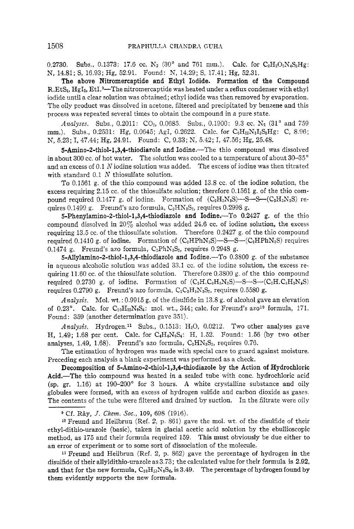0.2730. Subs., 0.1373: 17.6 cc.  $N_2$  (30° and 761 mm.). Calc. for  $C_2H_2O_2N_4S_2Hg$ . N, 14.81; S, 16.93; Hg, 52.91. Found: N, 14.29; S, 17.41; Hg, 52.31.

The above Nitromercaptide and Ethyl Iodide. Formation **of** the Compound R.EtS<sub>2</sub>, HgI<sub>2</sub>, EtI.<sup>9</sup>—The nitromercaptide was heated under a reflux condenser with ethyl iodide until a clear solution was obtained; ethyl iodide was then removed by evaporation. The oily product was dissolved in acetone, filtered and precipitated by benzene and this process was repeated several times to obtain the compound in a pure state.

*Analyses.* Subs., 0.2011:  $CO_2$ , 0.0685. Subs., 0.1900: 9.3 cc. N<sub>2</sub> (31° and 759) mm.). Subs., 0.2531: Hg, 0.0645; AgI, 0.2622. Calc. for  $C_6H_{12}N_3I_3S_3Hg$ : C, 8.96; N, 5.23; I, 47.44; Hg, 24.91. Found: C, 9.33; N, 5.42; I, 47.56; Hg, 25.48.

**5-Amino-2-thiol-1,3,4-thiodiazole and Iodine.—The thio compound was dissolved** in about 300 cc. of hot water. The solution was cooled to a temperature of about  $30-35^{\circ}$ and an excess of 0.1  $N$  iodine solution was added. The excess of iodine was then titrated with standard 0.1 *N* thiosulfate solution.

To 0.1561 g. of the thio compound was added 13.8 cc. of the iodine solution, the excess requiring 2.15 cc. of the thiosulfate solution; therefore 0.1561 g. of the thio compound required 0.1477 g. of iodine. Formation of  $(C_2H_2N_3S)$ -S-S- $(C_2H_2N_3S)$  requires  $0.1499$  g. Freund's azo formula,  $C_2HN_3S_2$ , requires  $0.2998$  g.

**5-Phenylamino-2-thio1-1,3,4-thiodiazole** and Iodine.-To 0.2427 g. of the thio compound dissolved in  $20\%$  alcohol was added 24.6 cc. of iodine solution, the excess requiring 13.5 cc. of the thiosulfate solution. Therefore  $0.2427$  g. of the thio compound required 0.1410 g. of iodine. Formation of  $(C_2HPhN_3S)$ -S-S- $(C_2HPhN_3S)$  requires  $0.1474$  g. Freund's azo formula,  $C_2PhN_3S_2$ , requires  $0.2948$  g.

**5-Allylamino-2-thiol-1,3,4-thiodiazole** and Iodine.-To 0.3800 g. of the substance in aqueous alcoholic solution was added 33.1 cc. of the iodine solution, the excess requiring 11.60 cc. of the thiosulfate solution. Therefore  $0.3800$  g, of the thio compound required 0.2730 g. of iodine. Formation of  $(C_2H.C_3H_5N_3S)$ -S-S- $(C_2H.C_3H_5N_3S)$ requires  $0.2790$  g. Freund's azo formula,  $C_2C_3H_5N_3S_2$ , requires  $0.5580$  g.

*Analysis.* Mol. wt. : 0.9915 g. of the disulfide in 13.8 g. of alcohol gave an elevation of 0.23°. Calc. for  $C_{10}H_{12}N_6S_4$ : mol. wt., 344; calc. for Freund's azo<sup>10</sup> formula, 171. Found: 359 (another determination gave 351).

*Analysis.* Hydrogen.<sup>11</sup> Subs., 0.1513: H<sub>2</sub>O, 0.0212. Two other analyses gave H, 1.49; 1.68 per cent. Calc. for  $C_4H_4N_6S_4$ : H, 1.52. Found: 1.56 (by two other analyses, 1.49, 1.68). Freund's azo formula,  $C_2HN_3S_2$ , requires 0.76.

The estimation of hydrogen was made with special care to guard against moisture. Preceding each analysis a blank experiment was performed as a check.

Decomposition of **5-Amino-2-thiol-1,3,4-thiodiazole** by the Action of Hydrochloric Acid.-The thio compound was heated in a sealed tube with conc. hydrochloric acid (sp. gr. 1.16) at 190-200' for 3 hours. **A** white crystalline substance and oily globules were formed, with an excess of hydrogen sulfide and carbon dioxide as gases. The contents of the tube were filtered and drained by suction. In the filtrate were oily

**<sup>9</sup>**Cf. *Rhy, J. Chem. SOC.,* 109, 698 (1916).

**<sup>10</sup>**Freund and Heilbrun (Ref. 2, p. 861) gave the mol. wt. of the disulfide of their ethyl-dithio-urazole (basic), taken in glacial acetic acid solution by the ebullioscopic method, as 175 and their formula required 159. This must obviously be due either to an error of experiment or to some sort of dissociation of the molecule.

11 Freund and Heilbrun (Ref. 2, p. 862) gave the percentage of hydrogen in the disulfide of their allyldithio-urazole as 3.73; the calculated value for their formula is **2.92,**  and that for the new formula,  $C_{10}H_{12}N_6S_4$ , is 3.49. The percentage of hydrogen found by them evidently supports the new formula.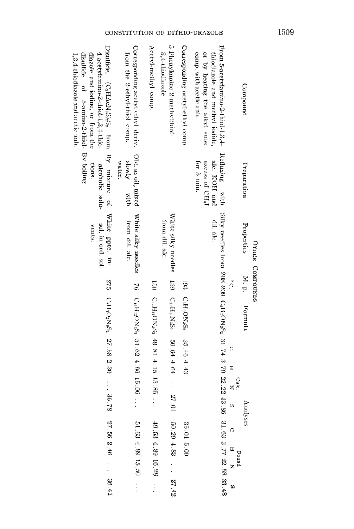|                                                                                                                                                                                                                                          |                                                                            | OTHER COMPOUNDS                               |    |                                                     |                                                                                     |                           |
|------------------------------------------------------------------------------------------------------------------------------------------------------------------------------------------------------------------------------------------|----------------------------------------------------------------------------|-----------------------------------------------|----|-----------------------------------------------------|-------------------------------------------------------------------------------------|---------------------------|
| Compound                                                                                                                                                                                                                                 | Preparation                                                                | Properties                                    |    | M. p. Formula                                       | Analyses                                                                            |                           |
|                                                                                                                                                                                                                                          |                                                                            |                                               | °. |                                                     | $\circ$<br>$\overline{a}$<br>Calc.<br>z<br>to.                                      | O<br>H<br>Found<br>z<br>w |
| From 5-acetylamino-2-thiol-1,3, $\pm$<br>comp. with acetic anh.<br>or by heating the alkyl subs<br>thiodiazole and methyl iodide,                                                                                                        | Refluxing with<br>alc. KOH and<br>for 5 min<br>excess of CH <sub>3</sub> I | dil. alc.                                     |    |                                                     | Silky needles from 208-209 C <sub>b</sub> H,ON <sub>52</sub> 31.74 3.70 22.22 33.86 | 31.63 3.77 22.58 33.48    |
| Corresponding acetyl-ethyl comp.                                                                                                                                                                                                         |                                                                            |                                               |    | $193 \text{ C}_{6}$ H <sub>9</sub> ON <sub>52</sub> | 35.46 4.43                                                                          | 35.01 5.00                |
| 5-Phenylamino-2-methylthiol-<br>3,4-thiodiazole                                                                                                                                                                                          |                                                                            | White silky needles<br>from dil. alc.         |    | 139 C <sub>10</sub> H <sub>11</sub> N <sub>52</sub> | F9 + F9 09<br>$10^{\circ}$ $25^{\circ}$ .                                           | $50.29\ 4.83$<br>27.42    |
| Acctyl-methyl comp.                                                                                                                                                                                                                      |                                                                            |                                               |    |                                                     | 150 C.H.ON, Se 49.81 4.15 15.85                                                     | 49.53 4.89 16.28          |
| Corresponding acetyl ethyl deriv.<br>from the 2-ethyl-thiol comp.                                                                                                                                                                        | Oht. as oil; mixed<br>slowly<br>water.<br>with                             | White silky needles<br>from dil. alc.         |    |                                                     | 76 C <sub>r</sub> H <sub>13</sub> ON <sub>52</sub> <sub>2</sub> 51.62 4.66 15.06    | 51.63 4.89 15.50          |
| Disulfide, (C <sub>2</sub> HAcN <sub>5</sub> S) <sub>2</sub> S <sub>2</sub> from<br>4-acetylamino-2-thiol-1,3,4-thio-<br>diazole and iodine, or from the<br>disulfide of 5-amino-2-thiol- By boiling<br>1,3,4-thiodiazole and acetic anh | By mixture of<br>tions.<br>alcoholic solu-                                 | White ppte. in-<br>sol. in ord. sol-<br>vents |    | 275 CAHO2N65, 27.58 2.30                            | $82^\circ 98^\circ$                                                                 | 27.56 2.46<br>10.98       |

## CONSTITUTION OF DITHIO-URAZOLE 1509